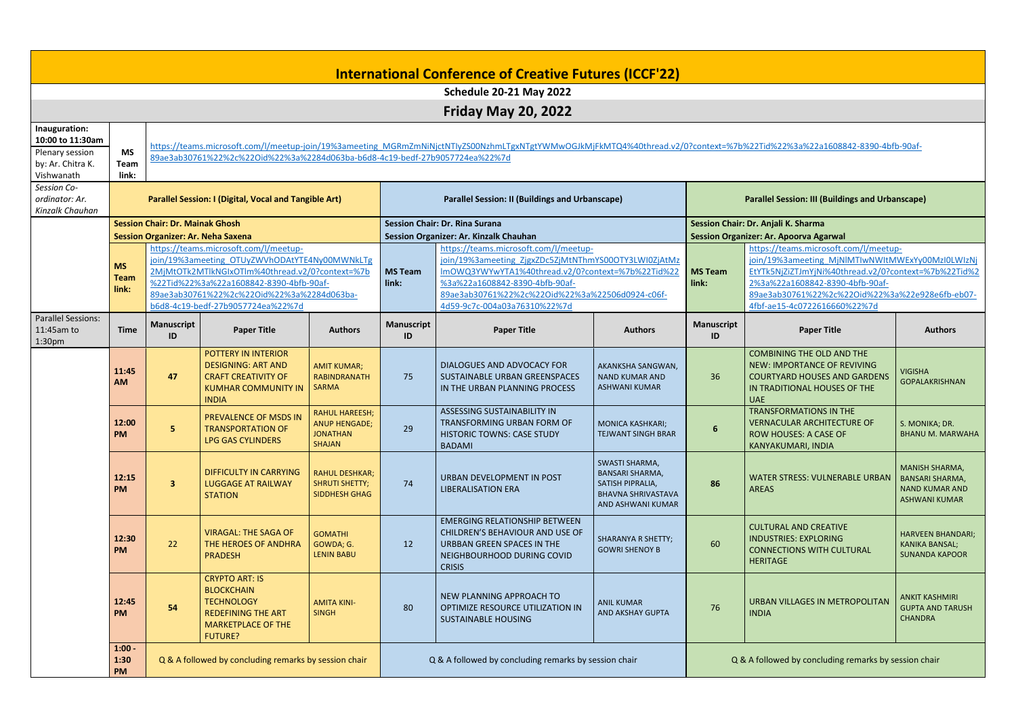| <b>International Conference of Creative Futures (ICCF'22)</b> |                                                                                        |                                                                                                                                                                                                                                                                         |                                                                                                                                                                                                                                                         |                                                                            |                                                       |                                                                                                                                                      |                                                                                                                |                                                                                      |                                                                                                                                                             |                                                                                                  |  |  |
|---------------------------------------------------------------|----------------------------------------------------------------------------------------|-------------------------------------------------------------------------------------------------------------------------------------------------------------------------------------------------------------------------------------------------------------------------|---------------------------------------------------------------------------------------------------------------------------------------------------------------------------------------------------------------------------------------------------------|----------------------------------------------------------------------------|-------------------------------------------------------|------------------------------------------------------------------------------------------------------------------------------------------------------|----------------------------------------------------------------------------------------------------------------|--------------------------------------------------------------------------------------|-------------------------------------------------------------------------------------------------------------------------------------------------------------|--------------------------------------------------------------------------------------------------|--|--|
| <b>Schedule 20-21 May 2022</b>                                |                                                                                        |                                                                                                                                                                                                                                                                         |                                                                                                                                                                                                                                                         |                                                                            |                                                       |                                                                                                                                                      |                                                                                                                |                                                                                      |                                                                                                                                                             |                                                                                                  |  |  |
| <b>Friday May 20, 2022</b>                                    |                                                                                        |                                                                                                                                                                                                                                                                         |                                                                                                                                                                                                                                                         |                                                                            |                                                       |                                                                                                                                                      |                                                                                                                |                                                                                      |                                                                                                                                                             |                                                                                                  |  |  |
| Inauguration:<br>10:00 to 11:30am<br>Plenary session          | <b>MS</b>                                                                              |                                                                                                                                                                                                                                                                         | https://teams.microsoft.com/l/meetup-join/19%3ameeting MGRmZmNiNjctNTlyZS00NzhmLTgxNTgtYWMwOGJkMjFkMTQ4%40thread.v2/0?context=%7b%22Tid%22%3a%22a1608842-8390-4bfb-90af-<br>89ae3ab30761%22%2c%22Oid%22%3a%2284d063ba-b6d8-4c19-bedf-27b9057724ea%22%7d |                                                                            |                                                       |                                                                                                                                                      |                                                                                                                |                                                                                      |                                                                                                                                                             |                                                                                                  |  |  |
| by: Ar. Chitra K.                                             | Team                                                                                   |                                                                                                                                                                                                                                                                         |                                                                                                                                                                                                                                                         |                                                                            |                                                       |                                                                                                                                                      |                                                                                                                |                                                                                      |                                                                                                                                                             |                                                                                                  |  |  |
| Vishwanath<br>Session Co-<br>ordinator: Ar.                   | link:                                                                                  |                                                                                                                                                                                                                                                                         | <b>Parallel Session: I (Digital, Vocal and Tangible Art)</b><br><b>Parallel Session: II (Buildings and Urbanscape)</b><br><b>Parallel Session: III (Buildings and Urbanscape)</b>                                                                       |                                                                            |                                                       |                                                                                                                                                      |                                                                                                                |                                                                                      |                                                                                                                                                             |                                                                                                  |  |  |
| Kinzalk Chauhan                                               |                                                                                        |                                                                                                                                                                                                                                                                         |                                                                                                                                                                                                                                                         |                                                                            |                                                       |                                                                                                                                                      |                                                                                                                |                                                                                      |                                                                                                                                                             |                                                                                                  |  |  |
|                                                               |                                                                                        | <b>Session Chair: Dr. Mainak Ghosh</b>                                                                                                                                                                                                                                  |                                                                                                                                                                                                                                                         |                                                                            |                                                       | <b>Session Chair: Dr. Rina Surana</b><br>Session Organizer: Ar. Kinzalk Chauhan                                                                      |                                                                                                                | Session Chair: Dr. Anjali K. Sharma<br><b>Session Organizer: Ar. Apoorva Agarwal</b> |                                                                                                                                                             |                                                                                                  |  |  |
|                                                               |                                                                                        | <b>Session Organizer: Ar. Neha Saxena</b>                                                                                                                                                                                                                               |                                                                                                                                                                                                                                                         |                                                                            |                                                       | https://teams.microsoft.com/l/meetup-                                                                                                                |                                                                                                                |                                                                                      | https://teams.microsoft.com/l/meetup-                                                                                                                       |                                                                                                  |  |  |
|                                                               | <b>MS</b><br><b>Team</b>                                                               | https://teams.microsoft.com/l/meetup-<br>join/19%3ameeting OTUyZWVhODAtYTE4Ny00MWNkLTg<br>2MjMtOTk2MTlkNGIxOTlm%40thread.v2/0?context=%7b<br>%22Tid%22%3a%22a1608842-8390-4bfb-90af-<br>89ae3ab30761%22%2c%22Oid%22%3a%2284d063ba-<br>b6d8-4c19-bedf-27b9057724ea%22%7d |                                                                                                                                                                                                                                                         |                                                                            | <b>MS Team</b><br>link:                               | join/19%3ameeting ZjgxZDc5ZjMtNThmYS00OTY3LWI0ZjAtMz<br>ImOWQ3YWYwYTA1%40thread.v2/0?context=%7b%22Tid%22<br>%3a%22a1608842-8390-4bfb-90af-          |                                                                                                                | <b>MS Team</b><br>link:                                                              | join/19%3ameeting MjNlMTIwNWItMWExYy00MzI0LWIzNj<br>EtYTk5NjZiZTJmYjNi%40thread.v2/0?context=%7b%22Tid%2<br>2%3a%22a1608842-8390-4bfb-90af-                 |                                                                                                  |  |  |
|                                                               | link:                                                                                  |                                                                                                                                                                                                                                                                         |                                                                                                                                                                                                                                                         |                                                                            |                                                       | 89ae3ab30761%22%2c%22Oid%22%3a%22506d0924-c06f-<br>4d59-9c7c-004a03a76310%22%7d                                                                      |                                                                                                                |                                                                                      | 89ae3ab30761%22%2c%22Oid%22%3a%22e928e6fb-eb07-<br>4fbf-ae15-4c0722616660%22%7d                                                                             |                                                                                                  |  |  |
| <b>Parallel Sessions:</b><br>11:45am to<br>1:30pm             | <b>Time</b>                                                                            | <b>Manuscript</b><br>ID                                                                                                                                                                                                                                                 | <b>Paper Title</b>                                                                                                                                                                                                                                      | <b>Authors</b>                                                             | <b>Manuscript</b><br>ID                               | <b>Paper Title</b>                                                                                                                                   | <b>Authors</b>                                                                                                 | <b>Manuscript</b><br>ID                                                              | <b>Paper Title</b>                                                                                                                                          | <b>Authors</b>                                                                                   |  |  |
|                                                               | 11:45<br><b>AM</b>                                                                     | 47                                                                                                                                                                                                                                                                      | POTTERY IN INTERIOR<br><b>DESIGNING: ART AND</b><br><b>CRAFT CREATIVITY OF</b><br><b>KUMHAR COMMUNITY IN</b><br><b>INDIA</b>                                                                                                                            | <b>AMIT KUMAR;</b><br><b>RABINDRANATH</b><br><b>SARMA</b>                  | 75                                                    | DIALOGUES AND ADVOCACY FOR<br>SUSTAINABLE URBAN GREENSPACES<br>IN THE URBAN PLANNING PROCESS                                                         | AKANKSHA SANGWAN,<br><b>NAND KUMAR AND</b><br><b>ASHWANI KUMAR</b>                                             | 36                                                                                   | <b>COMBINING THE OLD AND THE</b><br><b>NEW: IMPORTANCE OF REVIVING</b><br><b>COURTYARD HOUSES AND GARDENS</b><br>IN TRADITIONAL HOUSES OF THE<br><b>UAE</b> | <b>VIGISHA</b><br><b>GOPALAKRISHNAN</b>                                                          |  |  |
|                                                               | 12:00<br><b>PM</b>                                                                     | 5                                                                                                                                                                                                                                                                       | PREVALENCE OF MSDS IN<br><b>TRANSPORTATION OF</b><br>LPG GAS CYLINDERS                                                                                                                                                                                  | <b>RAHUL HAREESH;</b><br>ANUP HENGADE;<br><b>JONATHAN</b><br><b>SHAJAN</b> | 29                                                    | <b>ASSESSING SUSTAINABILITY IN</b><br>TRANSFORMING URBAN FORM OF<br><b>HISTORIC TOWNS: CASE STUDY</b><br><b>BADAMI</b>                               | <b>MONICA KASHKARI;</b><br>TEJWANT SINGH BRAR                                                                  | 6                                                                                    | <b>TRANSFORMATIONS IN THE</b><br><b>VERNACULAR ARCHITECTURE OF</b><br>ROW HOUSES: A CASE OF<br>KANYAKUMARI, INDIA                                           | S. MONIKA; DR.<br><b>BHANU M. MARWAHA</b>                                                        |  |  |
|                                                               | 12:15<br><b>PM</b>                                                                     | $\overline{\mathbf{3}}$                                                                                                                                                                                                                                                 | <b>DIFFICULTY IN CARRYING</b><br><b>LUGGAGE AT RAILWAY</b><br><b>STATION</b>                                                                                                                                                                            | <b>RAHUL DESHKAR;</b><br><b>SHRUTI SHETTY;</b><br>SIDDHESH GHAG            | 74                                                    | URBAN DEVELOPMENT IN POST<br><b>LIBERALISATION ERA</b>                                                                                               | SWASTI SHARMA,<br><b>BANSARI SHARMA,</b><br>SATISH PIPRALIA,<br><b>BHAVNA SHRIVASTAVA</b><br>AND ASHWANI KUMAR | 86                                                                                   | <b>WATER STRESS: VULNERABLE URBAN</b><br><b>AREAS</b>                                                                                                       | <b>MANISH SHARMA,</b><br><b>BANSARI SHARMA,</b><br><b>NAND KUMAR AND</b><br><b>ASHWANI KUMAR</b> |  |  |
|                                                               | 12:30<br><b>PM</b>                                                                     | 22                                                                                                                                                                                                                                                                      | <b>VIRAGAL: THE SAGA OF</b><br>THE HEROES OF ANDHRA<br><b>PRADESH</b>                                                                                                                                                                                   | <b>GOMATHI</b><br>GOWDA; G.<br><b>LENIN BABU</b>                           | 12                                                    | <b>EMERGING RELATIONSHIP BETWEEN</b><br>CHILDREN'S BEHAVIOUR AND USE OF<br>URBBAN GREEN SPACES IN THE<br>NEIGHBOURHOOD DURING COVID<br><b>CRISIS</b> | SHARANYA R SHETTY;<br><b>GOWRI SHENOY B</b>                                                                    | 60                                                                                   | <b>CULTURAL AND CREATIVE</b><br><b>INDUSTRIES: EXPLORING</b><br><b>CONNECTIONS WITH CULTURAL</b><br><b>HERITAGE</b>                                         | <b>HARVEEN BHANDARI;</b><br><b>KANIKA BANSAL;</b><br><b>SUNANDA KAPOOR</b>                       |  |  |
|                                                               | 12:45<br><b>PM</b>                                                                     | 54                                                                                                                                                                                                                                                                      | <b>CRYPTO ART: IS</b><br><b>BLOCKCHAIN</b><br><b>TECHNOLOGY</b><br><b>REDEFINING THE ART</b><br><b>MARKETPLACE OF THE</b><br><b>FUTURE?</b>                                                                                                             | <b>AMITA KINI-</b><br><b>SINGH</b>                                         | 80                                                    | NEW PLANNING APPROACH TO<br>OPTIMIZE RESOURCE UTILIZATION IN<br><b>SUSTAINABLE HOUSING</b>                                                           | <b>ANIL KUMAR</b><br>AND AKSHAY GUPTA                                                                          | 76                                                                                   | <b>URBAN VILLAGES IN METROPOLITAN</b><br><b>INDIA</b>                                                                                                       | <b>ANKIT KASHMIRI</b><br><b>GUPTA AND TARUSH</b><br><b>CHANDRA</b>                               |  |  |
|                                                               | $1:00 -$<br>Q & A followed by concluding remarks by session chair<br>1:30<br><b>PM</b> |                                                                                                                                                                                                                                                                         |                                                                                                                                                                                                                                                         |                                                                            | Q & A followed by concluding remarks by session chair |                                                                                                                                                      |                                                                                                                | Q & A followed by concluding remarks by session chair                                |                                                                                                                                                             |                                                                                                  |  |  |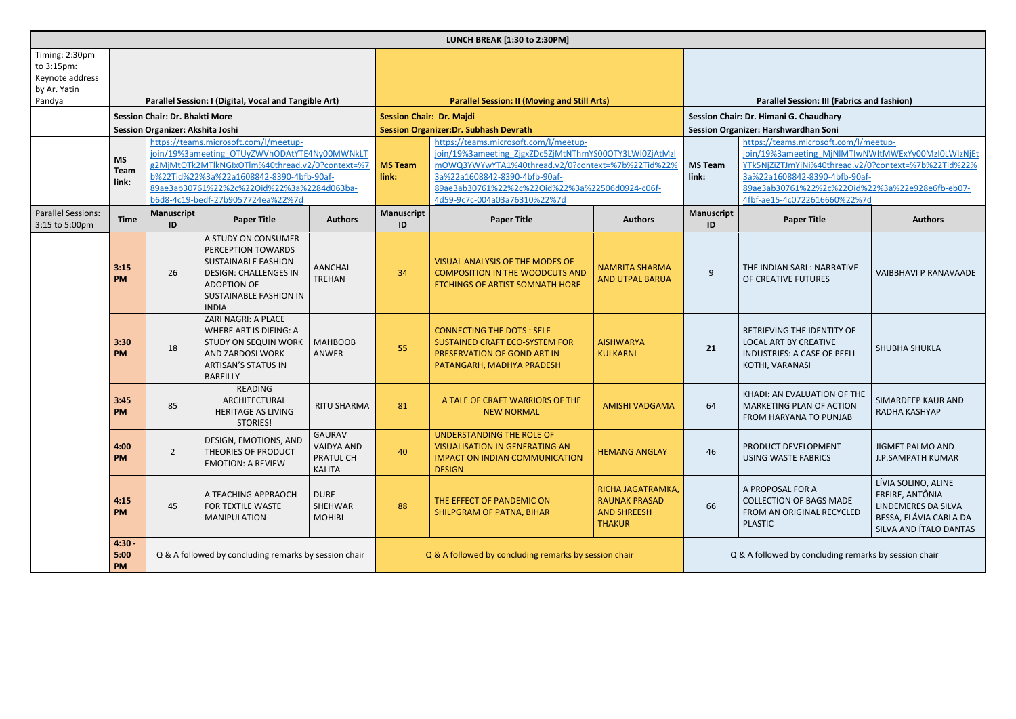| LUNCH BREAK [1:30 to 2:30PM]                                              |                                                                                                                                                                                                                                                                                                       |                         |                                                                                                                                                                  |                                                                  |                                                                                                                                                                                                                                                                         |                                                                                                                                     |                                                                                                                                                                                                                                                                         |                                                    |                                                                                                                     |                                                                                                                   |  |
|---------------------------------------------------------------------------|-------------------------------------------------------------------------------------------------------------------------------------------------------------------------------------------------------------------------------------------------------------------------------------------------------|-------------------------|------------------------------------------------------------------------------------------------------------------------------------------------------------------|------------------------------------------------------------------|-------------------------------------------------------------------------------------------------------------------------------------------------------------------------------------------------------------------------------------------------------------------------|-------------------------------------------------------------------------------------------------------------------------------------|-------------------------------------------------------------------------------------------------------------------------------------------------------------------------------------------------------------------------------------------------------------------------|----------------------------------------------------|---------------------------------------------------------------------------------------------------------------------|-------------------------------------------------------------------------------------------------------------------|--|
| Timing: 2:30pm<br>to 3:15pm:<br>Keynote address<br>by Ar. Yatin<br>Pandya | Parallel Session: I (Digital, Vocal and Tangible Art)                                                                                                                                                                                                                                                 |                         |                                                                                                                                                                  |                                                                  | <b>Parallel Session: II (Moving and Still Arts)</b>                                                                                                                                                                                                                     |                                                                                                                                     |                                                                                                                                                                                                                                                                         | <b>Parallel Session: III (Fabrics and fashion)</b> |                                                                                                                     |                                                                                                                   |  |
|                                                                           | <b>Session Chair: Dr. Bhakti More</b>                                                                                                                                                                                                                                                                 |                         |                                                                                                                                                                  |                                                                  | <b>Session Chair: Dr. Majdi</b>                                                                                                                                                                                                                                         |                                                                                                                                     |                                                                                                                                                                                                                                                                         |                                                    | Session Chair: Dr. Himani G. Chaudhary                                                                              |                                                                                                                   |  |
|                                                                           | Session Organizer: Akshita Joshi                                                                                                                                                                                                                                                                      |                         |                                                                                                                                                                  |                                                                  |                                                                                                                                                                                                                                                                         | <b>Session Organizer:Dr. Subhash Devrath</b>                                                                                        |                                                                                                                                                                                                                                                                         | Session Organizer: Harshwardhan Soni               |                                                                                                                     |                                                                                                                   |  |
|                                                                           | https://teams.microsoft.com/l/meetup-<br>join/19%3ameeting OTUyZWVhODAtYTE4Ny00MWNkLT<br><b>MS</b><br>g2MjMtOTk2MTlkNGIxOTlm%40thread.v2/0?context=%7<br>Team<br>b%22Tid%22%3a%22a1608842-8390-4bfb-90af-<br>link:<br>89ae3ab30761%22%2c%22Oid%22%3a%2284d063ba-<br>b6d8-4c19-bedf-27b9057724ea%22%7d |                         |                                                                                                                                                                  | <b>MS Team</b><br>link:                                          | https://teams.microsoft.com/l/meetup-<br>join/19%3ameeting ZjgxZDc5ZjMtNThmYS00OTY3LWI0ZjAtMzl<br>mOWQ3YWYwYTA1%40thread.v2/0?context=%7b%22Tid%22%<br>3a%22a1608842-8390-4bfb-90af-<br>89ae3ab30761%22%2c%22Oid%22%3a%22506d0924-c06f-<br>4d59-9c7c-004a03a76310%22%7d | <b>MS Team</b><br>link:                                                                                                             | https://teams.microsoft.com/l/meetup-<br>join/19%3ameeting_MjNlMTIwNWItMWExYy00MzI0LWIzNjEt<br>YTk5NjZiZTJmYjNi%40thread.v2/0?context=%7b%22Tid%22%<br>3a%22a1608842-8390-4bfb-90af-<br>89ae3ab30761%22%2c%22Oid%22%3a%22e928e6fb-eb07-<br>4fbf-ae15-4c0722616660%22%7d |                                                    |                                                                                                                     |                                                                                                                   |  |
| <b>Parallel Sessions:</b><br>3:15 to 5:00pm                               | <b>Time</b>                                                                                                                                                                                                                                                                                           | <b>Manuscript</b><br>ID | <b>Paper Title</b>                                                                                                                                               | <b>Authors</b>                                                   | <b>Manuscript</b><br>ID                                                                                                                                                                                                                                                 | <b>Paper Title</b>                                                                                                                  | <b>Authors</b>                                                                                                                                                                                                                                                          | <b>Manuscript</b><br>ID                            | <b>Paper Title</b>                                                                                                  | <b>Authors</b>                                                                                                    |  |
|                                                                           | 3:15<br><b>PM</b>                                                                                                                                                                                                                                                                                     | 26                      | A STUDY ON CONSUMER<br>PERCEPTION TOWARDS<br><b>SUSTAINABLE FASHION</b><br><b>DESIGN: CHALLENGES IN</b><br>ADOPTION OF<br>SUSTAINABLE FASHION IN<br><b>INDIA</b> | <b>AANCHAL</b><br>TREHAN                                         | 34                                                                                                                                                                                                                                                                      | VISUAL ANALYSIS OF THE MODES OF<br><b>COMPOSITION IN THE WOODCUTS AND</b><br><b>ETCHINGS OF ARTIST SOMNATH HORE</b>                 | <b>NAMRITA SHARMA</b><br><b>AND UTPAL BARUA</b>                                                                                                                                                                                                                         | 9                                                  | THE INDIAN SARI: NARRATIVE<br>OF CREATIVE FUTURES                                                                   | <b>VAIBBHAVI P RANAVAADE</b>                                                                                      |  |
|                                                                           | 3:30<br><b>PM</b>                                                                                                                                                                                                                                                                                     | 18                      | ZARI NAGRI: A PLACE<br><b>WHERE ART IS DIEING: A</b><br><b>STUDY ON SEQUIN WORK</b><br>AND ZARDOSI WORK<br><b>ARTISAN'S STATUS IN</b><br><b>BAREILLY</b>         | <b>MAHBOOB</b><br><b>ANWER</b>                                   | 55                                                                                                                                                                                                                                                                      | <b>CONNECTING THE DOTS: SELF-</b><br>SUSTAINED CRAFT ECO-SYSTEM FOR<br>PRESERVATION OF GOND ART IN<br>PATANGARH, MADHYA PRADESH     | <b>AISHWARYA</b><br><b>KULKARNI</b>                                                                                                                                                                                                                                     | 21                                                 | RETRIEVING THE IDENTITY OF<br><b>LOCAL ART BY CREATIVE</b><br><b>INDUSTRIES: A CASE OF PEELI</b><br>KOTHI, VARANASI | SHUBHA SHUKLA                                                                                                     |  |
|                                                                           | 3:45<br><b>PM</b>                                                                                                                                                                                                                                                                                     | 85                      | READING<br>ARCHITECTURAL<br><b>HERITAGE AS LIVING</b><br>STORIES!                                                                                                | <b>RITU SHARMA</b>                                               | 81                                                                                                                                                                                                                                                                      | A TALE OF CRAFT WARRIORS OF THE<br><b>NEW NORMAL</b>                                                                                | <b>AMISHI VADGAMA</b>                                                                                                                                                                                                                                                   | 64                                                 | KHADI: AN EVALUATION OF THE<br><b>MARKETING PLAN OF ACTION</b><br>FROM HARYANA TO PUNJAB                            | SIMARDEEP KAUR AND<br>RADHA KASHYAP                                                                               |  |
|                                                                           | 4:00<br><b>PM</b>                                                                                                                                                                                                                                                                                     | $\overline{2}$          | DESIGN, EMOTIONS, AND<br>THEORIES OF PRODUCT<br><b>EMOTION: A REVIEW</b>                                                                                         | <b>GAURAV</b><br><b>VAIDYA AND</b><br>PRATUL CH<br><b>KALITA</b> | 40                                                                                                                                                                                                                                                                      | <b>UNDERSTANDING THE ROLE OF</b><br><b>VISUALISATION IN GENERATING AN</b><br><b>IMPACT ON INDIAN COMMUNICATION</b><br><b>DESIGN</b> | <b>HEMANG ANGLAY</b>                                                                                                                                                                                                                                                    | 46                                                 | PRODUCT DEVELOPMENT<br><b>USING WASTE FABRICS</b>                                                                   | <b>JIGMET PALMO AND</b><br><b>J.P.SAMPATH KUMAR</b>                                                               |  |
|                                                                           | 4:15<br><b>PM</b>                                                                                                                                                                                                                                                                                     | 45                      | A TEACHING APPRAOCH<br>FOR TEXTILE WASTE<br><b>MANIPULATION</b>                                                                                                  | <b>DURE</b><br>SHEHWAR<br><b>MOHIBI</b>                          | 88                                                                                                                                                                                                                                                                      | THE EFFECT OF PANDEMIC ON<br>SHILPGRAM OF PATNA, BIHAR                                                                              | RICHA JAGATRAMKA,<br><b>RAUNAK PRASAD</b><br><b>AND SHREESH</b><br><b>THAKUR</b>                                                                                                                                                                                        | 66                                                 | A PROPOSAL FOR A<br><b>COLLECTION OF BAGS MADE</b><br>FROM AN ORIGINAL RECYCLED<br><b>PLASTIC</b>                   | LÍVIA SOLINO, ALINE<br>FREIRE, ANTÔNIA<br>LINDEMERES DA SILVA<br>BESSA, FLÁVIA CARLA DA<br>SILVA AND ÍTALO DANTAS |  |
|                                                                           | $4:30 -$<br>Q & A followed by concluding remarks by session chair<br>5:00<br><b>PM</b>                                                                                                                                                                                                                |                         |                                                                                                                                                                  | Q & A followed by concluding remarks by session chair            |                                                                                                                                                                                                                                                                         |                                                                                                                                     | Q & A followed by concluding remarks by session chair                                                                                                                                                                                                                   |                                                    |                                                                                                                     |                                                                                                                   |  |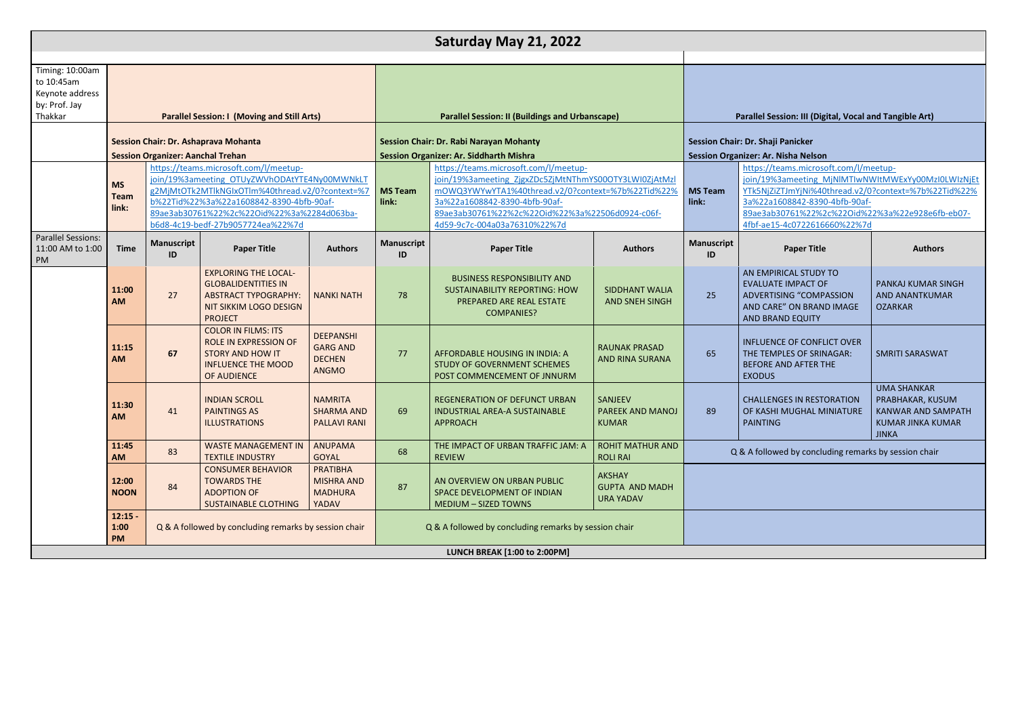|                                                                              |                                                                                         |                                                                                                                                                                                                                                                                         |                                                                                                                                      |                                                                      |                         | Saturday May 21, 2022                                                                                                                                                                                                                                                   |                                                                                 |                                                                                                                                       |                                                                                                                              |  |
|------------------------------------------------------------------------------|-----------------------------------------------------------------------------------------|-------------------------------------------------------------------------------------------------------------------------------------------------------------------------------------------------------------------------------------------------------------------------|--------------------------------------------------------------------------------------------------------------------------------------|----------------------------------------------------------------------|-------------------------|-------------------------------------------------------------------------------------------------------------------------------------------------------------------------------------------------------------------------------------------------------------------------|---------------------------------------------------------------------------------|---------------------------------------------------------------------------------------------------------------------------------------|------------------------------------------------------------------------------------------------------------------------------|--|
|                                                                              |                                                                                         |                                                                                                                                                                                                                                                                         |                                                                                                                                      |                                                                      |                         |                                                                                                                                                                                                                                                                         |                                                                                 |                                                                                                                                       |                                                                                                                              |  |
| Timing: 10:00am<br>to 10:45am<br>Keynote address<br>by: Prof. Jay<br>Thakkar |                                                                                         |                                                                                                                                                                                                                                                                         | <b>Parallel Session: I (Moving and Still Arts)</b>                                                                                   |                                                                      |                         | <b>Parallel Session: II (Buildings and Urbanscape)</b>                                                                                                                                                                                                                  |                                                                                 |                                                                                                                                       | <b>Parallel Session: III (Dig)</b>                                                                                           |  |
|                                                                              |                                                                                         | <b>Session Organizer: Aanchal Trehan</b>                                                                                                                                                                                                                                | <b>Session Chair: Dr. Ashaprava Mohanta</b>                                                                                          |                                                                      |                         | <b>Session Chair: Dr. Rabi Narayan Mohanty</b><br><b>Session Organizer: Ar. Siddharth Mishra</b>                                                                                                                                                                        | Session Chair: Dr. Shaji Panicker<br><b>Session Organizer: Ar. Nisha Nelson</b> |                                                                                                                                       |                                                                                                                              |  |
|                                                                              | <b>MS</b><br><b>Team</b><br>link:                                                       | https://teams.microsoft.com/l/meetup-<br>join/19%3ameeting OTUyZWVhODAtYTE4Ny00MWNkLT<br>g2MjMtOTk2MTlkNGIxOTlm%40thread.v2/0?context=%7<br>b%22Tid%22%3a%22a1608842-8390-4bfb-90af-<br>89ae3ab30761%22%2c%22Oid%22%3a%2284d063ba-<br>b6d8-4c19-bedf-27b9057724ea%22%7d |                                                                                                                                      |                                                                      | <b>MS Team</b><br>link: | https://teams.microsoft.com/l/meetup-<br>join/19%3ameeting ZjgxZDc5ZjMtNThmYS00OTY3LWI0ZjAtMzl<br>mOWQ3YWYwYTA1%40thread.v2/0?context=%7b%22Tid%22%<br>3a%22a1608842-8390-4bfb-90af-<br>89ae3ab30761%22%2c%22Oid%22%3a%22506d0924-c06f-<br>4d59-9c7c-004a03a76310%22%7d | <b>MS Team</b><br>link:                                                         | https://teams.microso<br>join/19%3ameeting N<br>YTk5NjZiZTJmYjNi%40<br>3a%22a1608842-8390<br>89ae3ab30761%22%2<br>4fbf-ae15-4c0722616 |                                                                                                                              |  |
| <b>Parallel Sessions:</b><br>11:00 AM to 1:00<br>PM                          | <b>Time</b>                                                                             | <b>Manuscript</b><br>ID                                                                                                                                                                                                                                                 | <b>Paper Title</b>                                                                                                                   | <b>Authors</b>                                                       | <b>Manuscript</b><br>ID | <b>Paper Title</b>                                                                                                                                                                                                                                                      | <b>Authors</b>                                                                  | <b>Manuscript</b><br>ID                                                                                                               | <b>Paper Title</b>                                                                                                           |  |
|                                                                              | 11:00<br><b>AM</b>                                                                      | 27                                                                                                                                                                                                                                                                      | <b>EXPLORING THE LOCAL-</b><br><b>GLOBALIDENTITIES IN</b><br><b>ABSTRACT TYPOGRAPHY:</b><br>NIT SIKKIM LOGO DESIGN<br><b>PROJECT</b> | <b>NANKI NATH</b>                                                    | 78                      | <b>BUSINESS RESPONSIBILITY AND</b><br><b>SUSTAINABILITY REPORTING: HOW</b><br>PREPARED ARE REAL ESTATE<br><b>COMPANIES?</b>                                                                                                                                             | <b>SIDDHANT WALIA</b><br><b>AND SNEH SINGH</b>                                  | 25                                                                                                                                    | AN EMPIRICAL STUDY<br><b>EVALUATE IMPACT OF</b><br><b>ADVERTISING "COMP</b><br><b>AND CARE" ON BRANI</b><br>AND BRAND EQUITY |  |
|                                                                              | 11:15<br><b>AM</b>                                                                      | 67                                                                                                                                                                                                                                                                      | <b>COLOR IN FILMS: ITS</b><br>ROLE IN EXPRESSION OF<br><b>STORY AND HOW IT</b><br><b>INFLUENCE THE MOOD</b><br>OF AUDIENCE           | <b>DEEPANSHI</b><br><b>GARG AND</b><br><b>DECHEN</b><br><b>ANGMO</b> | 77                      | AFFORDABLE HOUSING IN INDIA: A<br>STUDY OF GOVERNMENT SCHEMES<br>POST COMMENCEMENT OF JNNURM                                                                                                                                                                            | <b>RAUNAK PRASAD</b><br><b>AND RINA SURANA</b>                                  | 65                                                                                                                                    | <b>INFLUENCE OF CONFL</b><br>THE TEMPLES OF SRIN<br><b>BEFORE AND AFTER T</b><br><b>EXODUS</b>                               |  |
|                                                                              | 11:30<br>AM                                                                             | 41                                                                                                                                                                                                                                                                      | <b>INDIAN SCROLL</b><br><b>PAINTINGS AS</b><br><b>ILLUSTRATIONS</b>                                                                  | <b>NAMRITA</b><br><b>SHARMA AND</b><br><b>PALLAVI RANI</b>           | 69                      | REGENERATION OF DEFUNCT URBAN<br>INDUSTRIAL AREA-A SUSTAINABLE<br><b>APPROACH</b>                                                                                                                                                                                       | SANJEEV<br>PAREEK AND MANOJ<br><b>KUMAR</b>                                     | -89                                                                                                                                   | <b>CHALLENGES IN REST(</b><br>OF KASHI MUGHAL M<br><b>PAINTING</b>                                                           |  |
|                                                                              | 11:45<br>AM                                                                             | 83                                                                                                                                                                                                                                                                      | <b>WASTE MANAGEMENT IN</b><br><b>TEXTILE INDUSTRY</b>                                                                                | <b>ANUPAMA</b><br><b>GOYAL</b>                                       | 68                      | THE IMPACT OF URBAN TRAFFIC JAM: A<br><b>REVIEW</b>                                                                                                                                                                                                                     | <b>ROHIT MATHUR AND</b><br><b>ROLI RAI</b>                                      |                                                                                                                                       | Q & A followed by conclu                                                                                                     |  |
|                                                                              | 12:00<br><b>NOON</b>                                                                    | 84                                                                                                                                                                                                                                                                      | <b>CONSUMER BEHAVIOR</b><br><b>TOWARDS THE</b><br><b>ADOPTION OF</b><br><b>SUSTAINABLE CLOTHING</b>                                  | <b>PRATIBHA</b><br><b>MISHRA AND</b><br><b>MADHURA</b><br>YADAV      | 87                      | AN OVERVIEW ON URBAN PUBLIC<br>SPACE DEVELOPMENT OF INDIAN<br><b>MEDIUM - SIZED TOWNS</b>                                                                                                                                                                               | <b>AKSHAY</b><br><b>GUPTA AND MADH</b><br><b>URA YADAV</b>                      |                                                                                                                                       |                                                                                                                              |  |
|                                                                              | $12:15 -$<br>Q & A followed by concluding remarks by session chair<br>1:00<br><b>PM</b> |                                                                                                                                                                                                                                                                         |                                                                                                                                      |                                                                      |                         | Q & A followed by concluding remarks by session chair<br>LUNCH BREAK [1:00 to 2:00PM]                                                                                                                                                                                   |                                                                                 |                                                                                                                                       |                                                                                                                              |  |
|                                                                              |                                                                                         |                                                                                                                                                                                                                                                                         |                                                                                                                                      |                                                                      |                         |                                                                                                                                                                                                                                                                         |                                                                                 |                                                                                                                                       |                                                                                                                              |  |

## **Session: III (Digital, Vocal and Tangible Art)**

## //teams.microsoft.com/l/meetup-9%3ameeting\_MjNlMTIwNWItMWExYy00MzI0LWIzNjEt jZiZTJmYjNi%40thread.v2/0?context=%7b%22Tid%22% 2a1608842-8390-4bfb-90afab30761%22%2c%22Oid%22%3a%22e928e6fb-eb07e15-4c0722616660%22%7d **Paper Title Authors IPIRICAL STUDY TO IATE IMPACT OF RTISING "COMPASSION** ARE" ON BRAND IMAGE **RAND EQUITY** PANKAJ KUMAR SINGH AND ANANTKUMAR OZARKAR **ENCE OF CONFLICT OVER EMPLES OF SRINAGAR:** E AND AFTER THE JS. SMRITI SARASWAT **ENGES IN RESTORATION** SHI MUGHAL MINIATURE **ING** UMA SHANKAR PRABHAKAR, KUSUM KANWAR AND SAMPATH KUMAR JINKA KUMAR JINKA owed by concluding remarks by session chair